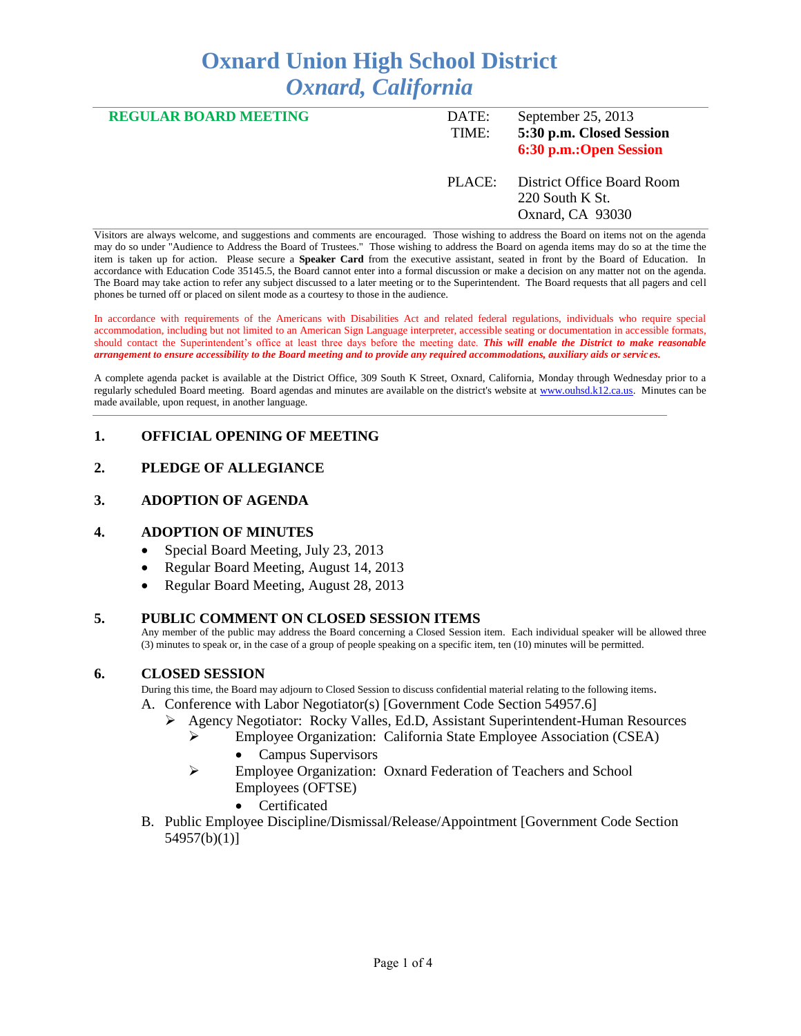# **Oxnard Union High School District** *Oxnard, California*

| <b>REGULAR BOARD MEETING</b> | DATE:<br>TIME: | September 25, 2013<br>5:30 p.m. Closed Session<br>6:30 p.m.:Open Session |
|------------------------------|----------------|--------------------------------------------------------------------------|
|                              | PLACE:         | District Office Board Room<br>220 South K St.<br>Oxnard, CA 93030        |
|                              |                |                                                                          |

Visitors are always welcome, and suggestions and comments are encouraged. Those wishing to address the Board on items not on the agenda may do so under "Audience to Address the Board of Trustees." Those wishing to address the Board on agenda items may do so at the time the item is taken up for action. Please secure a **Speaker Card** from the executive assistant, seated in front by the Board of Education. In accordance with Education Code 35145.5, the Board cannot enter into a formal discussion or make a decision on any matter not on the agenda. The Board may take action to refer any subject discussed to a later meeting or to the Superintendent. The Board requests that all pagers and cell phones be turned off or placed on silent mode as a courtesy to those in the audience.

In accordance with requirements of the Americans with Disabilities Act and related federal regulations, individuals who require special accommodation, including but not limited to an American Sign Language interpreter, accessible seating or documentation in accessible formats, should contact the Superintendent's office at least three days before the meeting date. *This will enable the District to make reasonable arrangement to ensure accessibility to the Board meeting and to provide any required accommodations, auxiliary aids or services.* 

A complete agenda packet is available at the District Office, 309 South K Street, Oxnard, California, Monday through Wednesday prior to a regularly scheduled Board meeting. Board agendas and minutes are available on the district's website at [www.ouhsd.k12.ca.us.](http://www.ouhsd.k12.ca.us/)Minutes can be made available, upon request, in another language.

#### **1. OFFICIAL OPENING OF MEETING**

## **2. PLEDGE OF ALLEGIANCE**

#### **3. ADOPTION OF AGENDA**

#### **4. ADOPTION OF MINUTES**

- Special Board Meeting, July 23, 2013
- Regular Board Meeting, August 14, 2013
- Regular Board Meeting, August 28, 2013

#### **5. PUBLIC COMMENT ON CLOSED SESSION ITEMS**

Any member of the public may address the Board concerning a Closed Session item. Each individual speaker will be allowed three (3) minutes to speak or, in the case of a group of people speaking on a specific item, ten (10) minutes will be permitted.

#### **6. CLOSED SESSION**

During this time, the Board may adjourn to Closed Session to discuss confidential material relating to the following items.

- A. Conference with Labor Negotiator(s) [Government Code Section 54957.6]
	- Agency Negotiator: Rocky Valles, Ed.D, Assistant Superintendent-Human Resources
		- Employee Organization: California State Employee Association (CSEA) • Campus Supervisors
		- Employee Organization: Oxnard Federation of Teachers and School Employees (OFTSE)
			- Certificated
- B. Public Employee Discipline/Dismissal/Release/Appointment [Government Code Section 54957(b)(1)]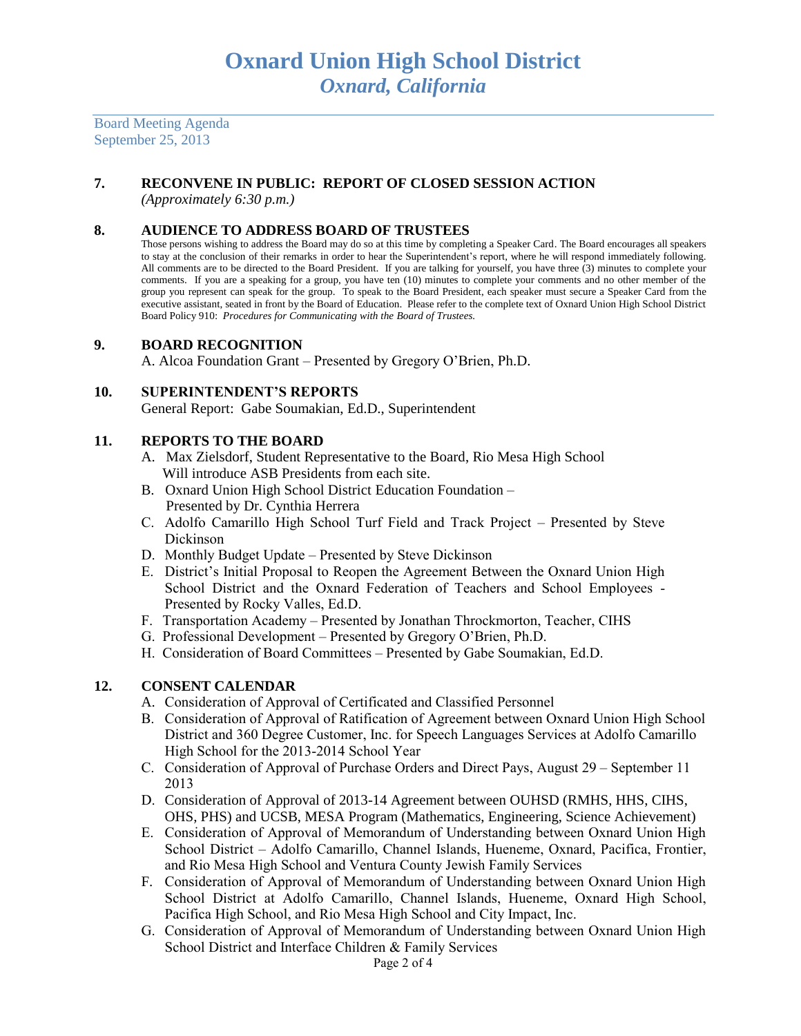Board Meeting Agenda September 25, 2013

# **7. RECONVENE IN PUBLIC: REPORT OF CLOSED SESSION ACTION**

*(Approximately 6:30 p.m.)*

## **8. AUDIENCE TO ADDRESS BOARD OF TRUSTEES**

Those persons wishing to address the Board may do so at this time by completing a Speaker Card. The Board encourages all speakers to stay at the conclusion of their remarks in order to hear the Superintendent's report, where he will respond immediately following. All comments are to be directed to the Board President. If you are talking for yourself, you have three (3) minutes to complete your comments. If you are a speaking for a group, you have ten (10) minutes to complete your comments and no other member of the group you represent can speak for the group. To speak to the Board President, each speaker must secure a Speaker Card from the executive assistant, seated in front by the Board of Education. Please refer to the complete text of Oxnard Union High School District Board Policy 910: *Procedures for Communicating with the Board of Trustees.*

#### **9. BOARD RECOGNITION**

A. Alcoa Foundation Grant – Presented by Gregory O'Brien, Ph.D.

#### **10. SUPERINTENDENT'S REPORTS**

General Report: Gabe Soumakian, Ed.D., Superintendent

#### **11. REPORTS TO THE BOARD**

- A. Max Zielsdorf, Student Representative to the Board, Rio Mesa High School Will introduce ASB Presidents from each site.
- B. Oxnard Union High School District Education Foundation Presented by Dr. Cynthia Herrera
- C. Adolfo Camarillo High School Turf Field and Track Project Presented by Steve Dickinson
- D. Monthly Budget Update Presented by Steve Dickinson
- E. District's Initial Proposal to Reopen the Agreement Between the Oxnard Union High School District and the Oxnard Federation of Teachers and School Employees - Presented by Rocky Valles, Ed.D.
- F. Transportation Academy Presented by Jonathan Throckmorton, Teacher, CIHS
- G. Professional Development Presented by Gregory O'Brien, Ph.D.
- H. Consideration of Board Committees Presented by Gabe Soumakian, Ed.D.

#### **12. CONSENT CALENDAR**

- A. Consideration of Approval of Certificated and Classified Personnel
- B. Consideration of Approval of Ratification of Agreement between Oxnard Union High School District and 360 Degree Customer, Inc. for Speech Languages Services at Adolfo Camarillo High School for the 2013-2014 School Year
- C. Consideration of Approval of Purchase Orders and Direct Pays, August 29 September 11 2013
- D. Consideration of Approval of 2013-14 Agreement between OUHSD (RMHS, HHS, CIHS, OHS, PHS) and UCSB, MESA Program (Mathematics, Engineering, Science Achievement)
- E. Consideration of Approval of Memorandum of Understanding between Oxnard Union High School District – Adolfo Camarillo, Channel Islands, Hueneme, Oxnard, Pacifica, Frontier, and Rio Mesa High School and Ventura County Jewish Family Services
- F. Consideration of Approval of Memorandum of Understanding between Oxnard Union High School District at Adolfo Camarillo, Channel Islands, Hueneme, Oxnard High School, Pacifica High School, and Rio Mesa High School and City Impact, Inc.
- G. Consideration of Approval of Memorandum of Understanding between Oxnard Union High School District and Interface Children & Family Services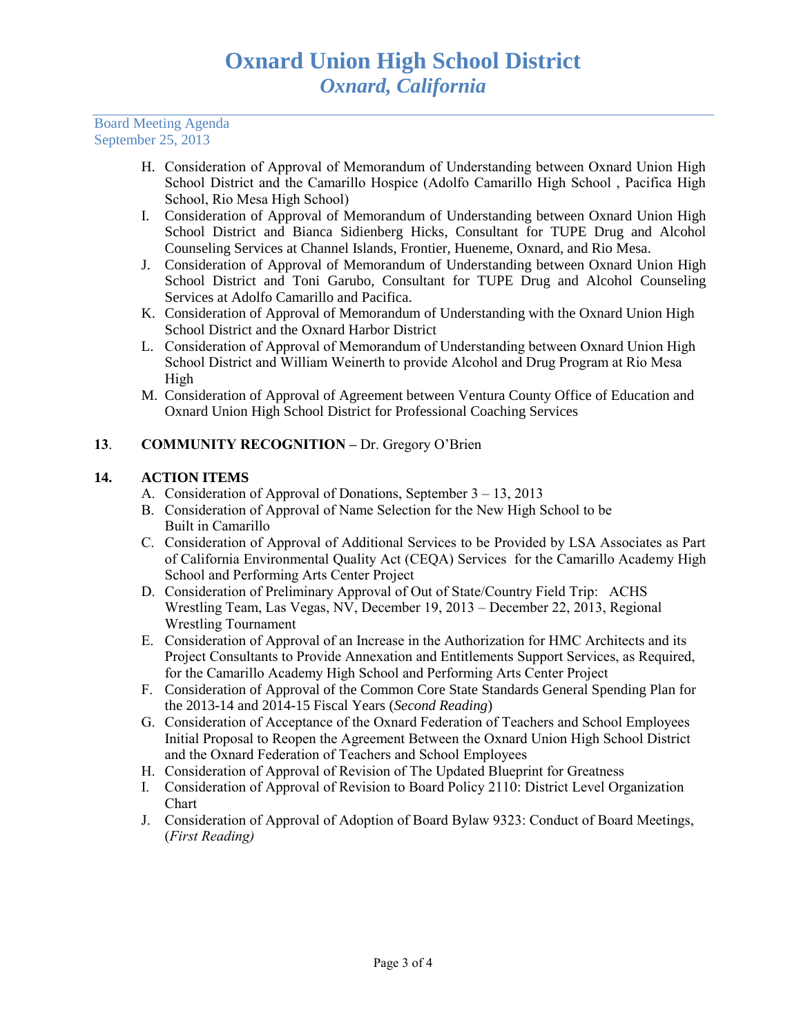Board Meeting Agenda September 25, 2013

- H. Consideration of Approval of Memorandum of Understanding between Oxnard Union High School District and the Camarillo Hospice (Adolfo Camarillo High School , Pacifica High School, Rio Mesa High School)
- I. Consideration of Approval of Memorandum of Understanding between Oxnard Union High School District and Bianca Sidienberg Hicks, Consultant for TUPE Drug and Alcohol Counseling Services at Channel Islands, Frontier, Hueneme, Oxnard, and Rio Mesa.
- J. Consideration of Approval of Memorandum of Understanding between Oxnard Union High School District and Toni Garubo, Consultant for TUPE Drug and Alcohol Counseling Services at Adolfo Camarillo and Pacifica.
- K. Consideration of Approval of Memorandum of Understanding with the Oxnard Union High School District and the Oxnard Harbor District
- L. Consideration of Approval of Memorandum of Understanding between Oxnard Union High School District and William Weinerth to provide Alcohol and Drug Program at Rio Mesa High
- M. Consideration of Approval of Agreement between Ventura County Office of Education and Oxnard Union High School District for Professional Coaching Services

## **13**. **COMMUNITY RECOGNITION –** Dr. Gregory O'Brien

## **14. ACTION ITEMS**

- A. Consideration of Approval of Donations, September 3 13, 2013
- B. Consideration of Approval of Name Selection for the New High School to be Built in Camarillo
- C. Consideration of Approval of Additional Services to be Provided by LSA Associates as Part of California Environmental Quality Act (CEQA) Services for the Camarillo Academy High School and Performing Arts Center Project
- D. Consideration of Preliminary Approval of Out of State/Country Field Trip: ACHS Wrestling Team, Las Vegas, NV, December 19, 2013 – December 22, 2013, Regional Wrestling Tournament
- E. Consideration of Approval of an Increase in the Authorization for HMC Architects and its Project Consultants to Provide Annexation and Entitlements Support Services, as Required, for the Camarillo Academy High School and Performing Arts Center Project
- F. Consideration of Approval of the Common Core State Standards General Spending Plan for the 2013-14 and 2014-15 Fiscal Years (*Second Reading*)
- G. Consideration of Acceptance of the Oxnard Federation of Teachers and School Employees Initial Proposal to Reopen the Agreement Between the Oxnard Union High School District and the Oxnard Federation of Teachers and School Employees
- H. Consideration of Approval of Revision of The Updated Blueprint for Greatness
- I. Consideration of Approval of Revision to Board Policy 2110: District Level Organization Chart
- J. Consideration of Approval of Adoption of Board Bylaw 9323: Conduct of Board Meetings, (*First Reading)*